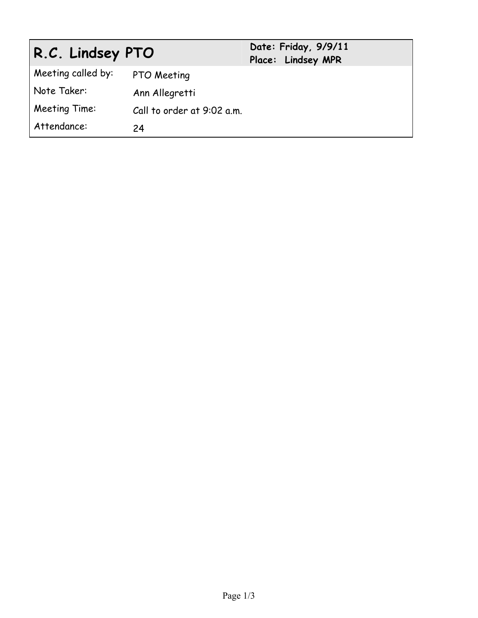| R.C. Lindsey PTO   |                            | Date: Friday, 9/9/11<br>Place: Lindsey MPR |
|--------------------|----------------------------|--------------------------------------------|
| Meeting called by: | PTO Meeting                |                                            |
| Note Taker:        | Ann Allegretti             |                                            |
| Meeting Time:      | Call to order at 9:02 a.m. |                                            |
| Attendance:        | 24                         |                                            |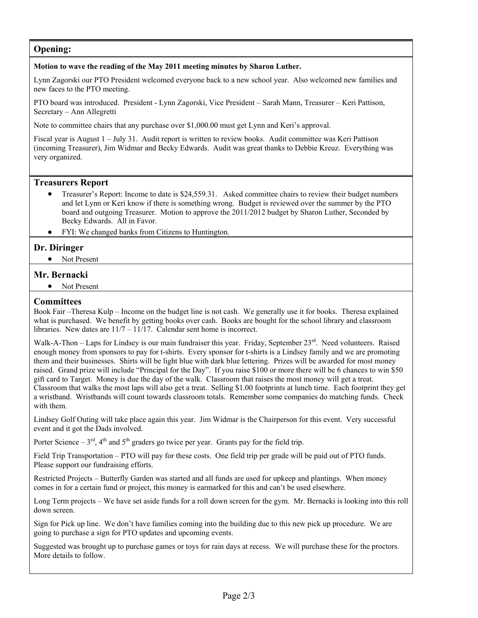# **Opening:**

#### **Motion to wave the reading of the May 2011 meeting minutes by Sharon Luther.**

Lynn Zagorski our PTO President welcomed everyone back to a new school year. Also welcomed new families and new faces to the PTO meeting.

PTO board was introduced. President - Lynn Zagorski, Vice President – Sarah Mann, Treasurer – Keri Pattison, Secretary – Ann Allegretti

Note to committee chairs that any purchase over \$1,000.00 must get Lynn and Keri's approval.

Fiscal year is August 1 – July 31. Audit report is written to review books. Audit committee was Keri Pattison (incoming Treasurer), Jim Widmar and Becky Edwards. Audit was great thanks to Debbie Kreuz. Everything was very organized.

## **Treasurers Report**

- Treasurer's Report: Income to date is \$24,559.31. Asked committee chairs to review their budget numbers and let Lynn or Keri know if there is something wrong. Budget is reviewed over the summer by the PTO board and outgoing Treasurer. Motion to approve the 2011/2012 budget by Sharon Luther, Seconded by Becky Edwards. All in Favor.
- FYI: We changed banks from Citizens to Huntington.

#### **Dr. Diringer**

• Not Present

## **Mr. Bernacki**

• Not Present

## **Committees**

Book Fair –Theresa Kulp – Income on the budget line is not cash. We generally use it for books. Theresa explained what is purchased. We benefit by getting books over cash. Books are bought for the school library and classroom libraries. New dates are  $11/7 - 11/17$ . Calendar sent home is incorrect.

Walk-A-Thon – Laps for Lindsey is our main fundraiser this year. Friday, September 23<sup>rd</sup>. Need volunteers. Raised enough money from sponsors to pay for t-shirts. Every sponsor for t-shirts is a Lindsey family and we are promoting them and their businesses. Shirts will be light blue with dark blue lettering. Prizes will be awarded for most money raised. Grand prize will include "Principal for the Day". If you raise \$100 or more there will be 6 chances to win \$50 gift card to Target. Money is due the day of the walk. Classroom that raises the most money will get a treat. Classroom that walks the most laps will also get a treat. Selling \$1.00 footprints at lunch time. Each footprint they get a wristband. Wristbands will count towards classroom totals. Remember some companies do matching funds. Check with them.

Lindsey Golf Outing will take place again this year. Jim Widmar is the Chairperson for this event. Very successful event and it got the Dads involved.

Porter Science –  $3<sup>rd</sup>$ ,  $4<sup>th</sup>$  and  $5<sup>th</sup>$  graders go twice per year. Grants pay for the field trip.

Field Trip Transportation – PTO will pay for these costs. One field trip per grade will be paid out of PTO funds. Please support our fundraising efforts.

Restricted Projects – Butterfly Garden was started and all funds are used for upkeep and plantings. When money comes in for a certain fund or project, this money is earmarked for this and can't be used elsewhere.

Long Term projects – We have set aside funds for a roll down screen for the gym. Mr. Bernacki is looking into this roll down screen.

Sign for Pick up line. We don't have families coming into the building due to this new pick up procedure. We are going to purchase a sign for PTO updates and upcoming events.

Suggested was brought up to purchase games or toys for rain days at recess. We will purchase these for the proctors. More details to follow.